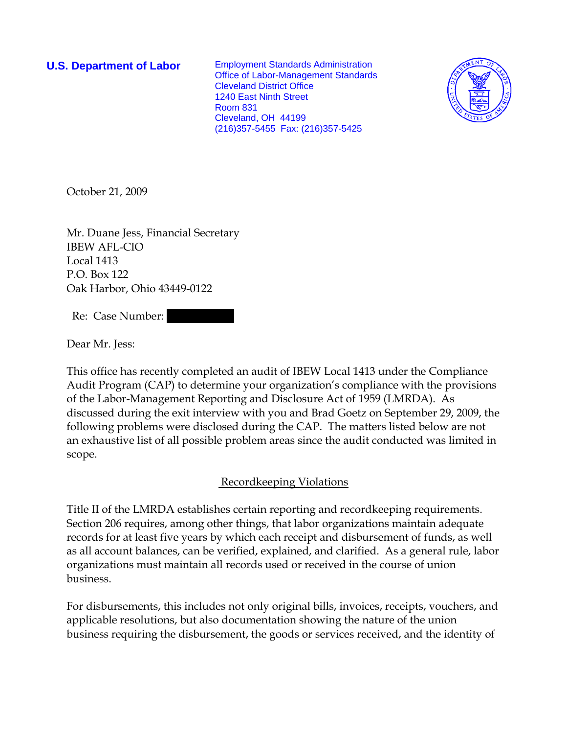**U.S. Department of Labor** Employment Standards Administration Office of Labor-Management Standards Cleveland District Office 1240 East Ninth Street Room 831 Cleveland, OH 44199 (216)357-5455 Fax: (216)357-5425



October 21, 2009

Mr. Duane Jess, Financial Secretary IBEW AFL-CIO Local 1413 P.O. Box 122 Oak Harbor, Ohio 43449-0122

Re: Case Number:

Dear Mr. Jess:

This office has recently completed an audit of IBEW Local 1413 under the Compliance Audit Program (CAP) to determine your organization's compliance with the provisions of the Labor-Management Reporting and Disclosure Act of 1959 (LMRDA). As discussed during the exit interview with you and Brad Goetz on September 29, 2009, the following problems were disclosed during the CAP. The matters listed below are not an exhaustive list of all possible problem areas since the audit conducted was limited in scope.

## Recordkeeping Violations

Title II of the LMRDA establishes certain reporting and recordkeeping requirements. Section 206 requires, among other things, that labor organizations maintain adequate records for at least five years by which each receipt and disbursement of funds, as well as all account balances, can be verified, explained, and clarified. As a general rule, labor organizations must maintain all records used or received in the course of union business.

For disbursements, this includes not only original bills, invoices, receipts, vouchers, and applicable resolutions, but also documentation showing the nature of the union business requiring the disbursement, the goods or services received, and the identity of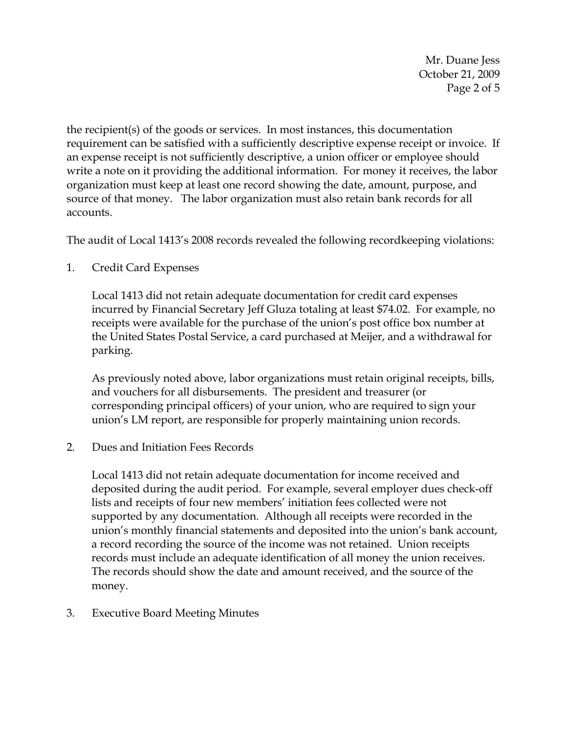Mr. Duane Jess October 21, 2009 Page 2 of 5

the recipient(s) of the goods or services. In most instances, this documentation requirement can be satisfied with a sufficiently descriptive expense receipt or invoice. If an expense receipt is not sufficiently descriptive, a union officer or employee should write a note on it providing the additional information. For money it receives, the labor organization must keep at least one record showing the date, amount, purpose, and source of that money. The labor organization must also retain bank records for all accounts.

The audit of Local 1413's 2008 records revealed the following recordkeeping violations:

1. Credit Card Expenses

Local 1413 did not retain adequate documentation for credit card expenses incurred by Financial Secretary Jeff Gluza totaling at least \$74.02. For example, no receipts were available for the purchase of the union's post office box number at the United States Postal Service, a card purchased at Meijer, and a withdrawal for parking.

As previously noted above, labor organizations must retain original receipts, bills, and vouchers for all disbursements. The president and treasurer (or corresponding principal officers) of your union, who are required to sign your union's LM report, are responsible for properly maintaining union records.

2. Dues and Initiation Fees Records

Local 1413 did not retain adequate documentation for income received and deposited during the audit period. For example, several employer dues check-off lists and receipts of four new members' initiation fees collected were not supported by any documentation. Although all receipts were recorded in the union's monthly financial statements and deposited into the union's bank account, a record recording the source of the income was not retained. Union receipts records must include an adequate identification of all money the union receives. The records should show the date and amount received, and the source of the money.

3. Executive Board Meeting Minutes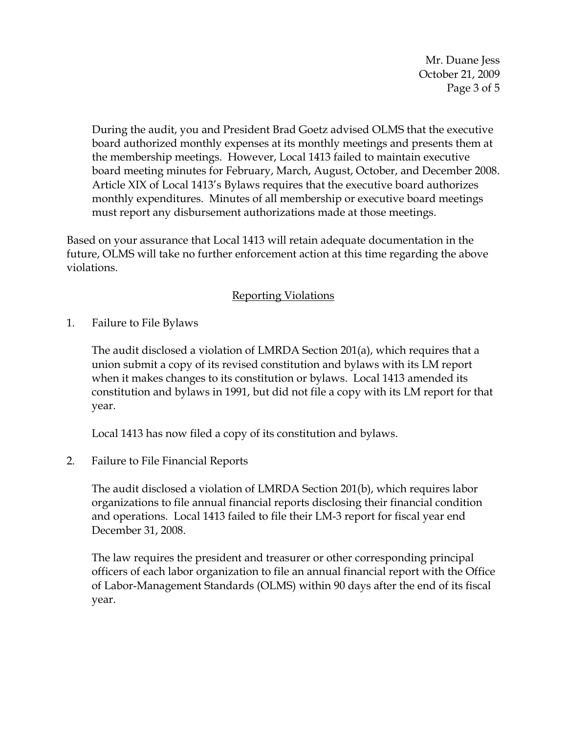Mr. Duane Jess October 21, 2009 Page 3 of 5

During the audit, you and President Brad Goetz advised OLMS that the executive board authorized monthly expenses at its monthly meetings and presents them at the membership meetings. However, Local 1413 failed to maintain executive board meeting minutes for February, March, August, October, and December 2008. Article XIX of Local 1413's Bylaws requires that the executive board authorizes monthly expenditures. Minutes of all membership or executive board meetings must report any disbursement authorizations made at those meetings.

Based on your assurance that Local 1413 will retain adequate documentation in the future, OLMS will take no further enforcement action at this time regarding the above violations.

## Reporting Violations

1. Failure to File Bylaws

The audit disclosed a violation of LMRDA Section 201(a), which requires that a union submit a copy of its revised constitution and bylaws with its LM report when it makes changes to its constitution or bylaws. Local 1413 amended its constitution and bylaws in 1991, but did not file a copy with its LM report for that year.

Local 1413 has now filed a copy of its constitution and bylaws.

2. Failure to File Financial Reports

The audit disclosed a violation of LMRDA Section 201(b), which requires labor organizations to file annual financial reports disclosing their financial condition and operations. Local 1413 failed to file their LM-3 report for fiscal year end December 31, 2008.

The law requires the president and treasurer or other corresponding principal officers of each labor organization to file an annual financial report with the Office of Labor-Management Standards (OLMS) within 90 days after the end of its fiscal year.